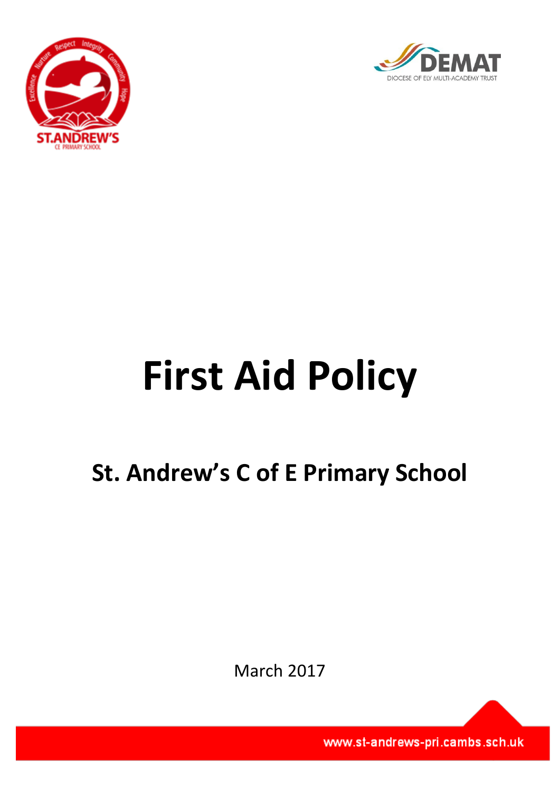



# **First Aid Policy**

# **St. Andrew's C of E Primary School**

March 2017

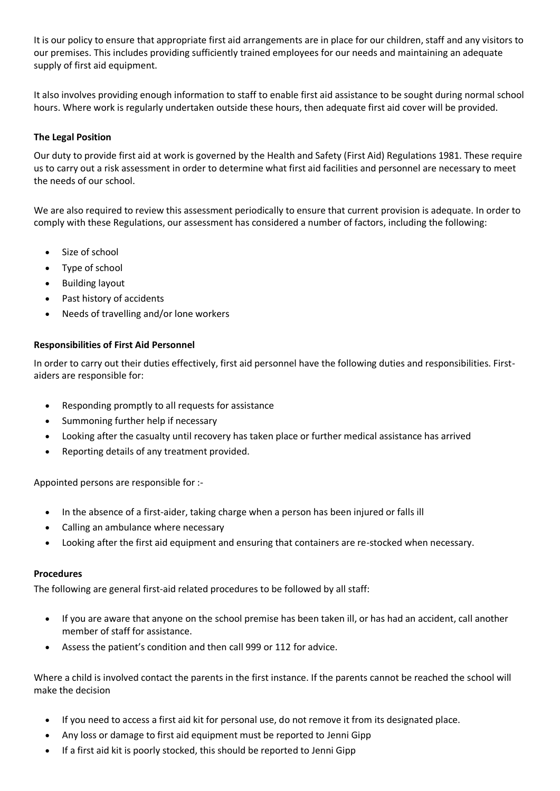It is our policy to ensure that appropriate first aid arrangements are in place for our children, staff and any visitors to our premises. This includes providing sufficiently trained employees for our needs and maintaining an adequate supply of first aid equipment.

It also involves providing enough information to staff to enable first aid assistance to be sought during normal school hours. Where work is regularly undertaken outside these hours, then adequate first aid cover will be provided.

# **The Legal Position**

Our duty to provide first aid at work is governed by the Health and Safety (First Aid) Regulations 1981. These require us to carry out a risk assessment in order to determine what first aid facilities and personnel are necessary to meet the needs of our school.

We are also required to review this assessment periodically to ensure that current provision is adequate. In order to comply with these Regulations, our assessment has considered a number of factors, including the following:

- Size of school
- Type of school
- Building layout
- Past history of accidents
- Needs of travelling and/or lone workers

## **Responsibilities of First Aid Personnel**

In order to carry out their duties effectively, first aid personnel have the following duties and responsibilities. Firstaiders are responsible for:

- Responding promptly to all requests for assistance
- Summoning further help if necessary
- Looking after the casualty until recovery has taken place or further medical assistance has arrived
- Reporting details of any treatment provided.

Appointed persons are responsible for :-

- In the absence of a first-aider, taking charge when a person has been injured or falls ill
- Calling an ambulance where necessary
- Looking after the first aid equipment and ensuring that containers are re-stocked when necessary.

#### **Procedures**

The following are general first-aid related procedures to be followed by all staff:

- If you are aware that anyone on the school premise has been taken ill, or has had an accident, call another member of staff for assistance.
- Assess the patient's condition and then call 999 or 112 for advice.

Where a child is involved contact the parents in the first instance. If the parents cannot be reached the school will make the decision

- If you need to access a first aid kit for personal use, do not remove it from its designated place.
- Any loss or damage to first aid equipment must be reported to Jenni Gipp
- If a first aid kit is poorly stocked, this should be reported to Jenni Gipp